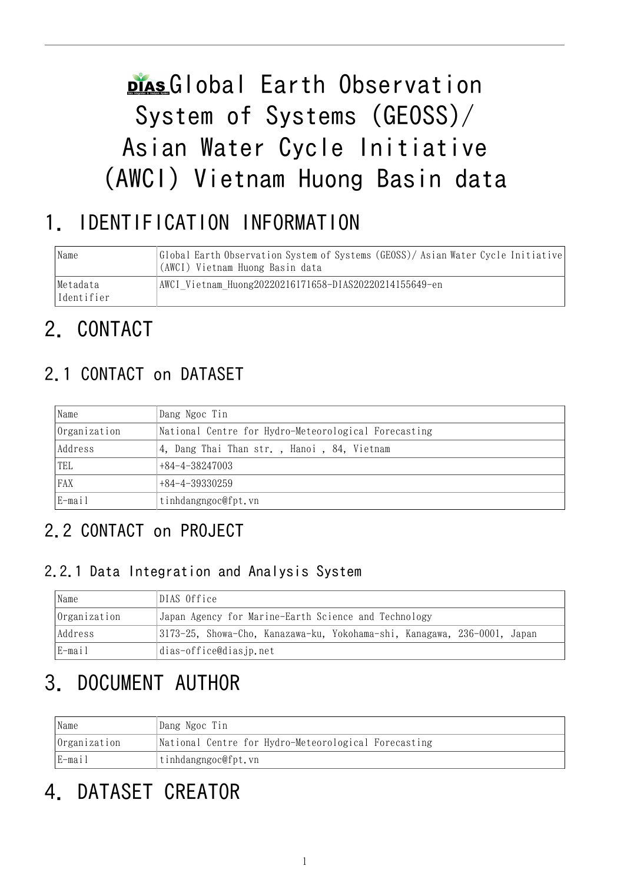# plas Global Earth Observation System of Systems (GEOSS)/ Asian Water Cycle Initiative (AWCI) Vietnam Huong Basin data

# 1. IDENTIFICATION INFORMATION

| Name                   | Global Earth Observation System of Systems (GEOSS)/Asian Water Cycle Initiative<br>(AWCI) Vietnam Huong Basin data |
|------------------------|--------------------------------------------------------------------------------------------------------------------|
| Metadata<br>Identifier | AWCI Vietnam Huong20220216171658-DIAS20220214155649-en                                                             |

# 2. CONTACT

## 2.1 CONTACT on DATASET

| Name         | Dang Ngoc Tin                                        |
|--------------|------------------------------------------------------|
| Organization | National Centre for Hydro-Meteorological Forecasting |
| Address      | 4, Dang Thai Than str., Hanoi, 84, Vietnam           |
| 'TEL         | $+84-4-38247003$                                     |
| FAX          | $+84-4-39330259$                                     |
| E-mail       | tinhdangngoc@fpt.vn                                  |

## 2.2 CONTACT on PROJECT

### 2.2.1 Data Integration and Analysis System

| Name         | DIAS Office                                                              |  |  |
|--------------|--------------------------------------------------------------------------|--|--|
| Organization | Japan Agency for Marine-Earth Science and Technology                     |  |  |
| Address      | 3173-25, Showa-Cho, Kanazawa-ku, Yokohama-shi, Kanagawa, 236-0001, Japan |  |  |
| E-mail       | dias-office@diasjp.net                                                   |  |  |

# 3. DOCUMENT AUTHOR

| Name         | Dang Ngoc Tin                                        |
|--------------|------------------------------------------------------|
| Organization | National Centre for Hydro-Meteorological Forecasting |
| E-mail       | tinhdangngoc@fpt.vn                                  |

# 4. DATASET CREATOR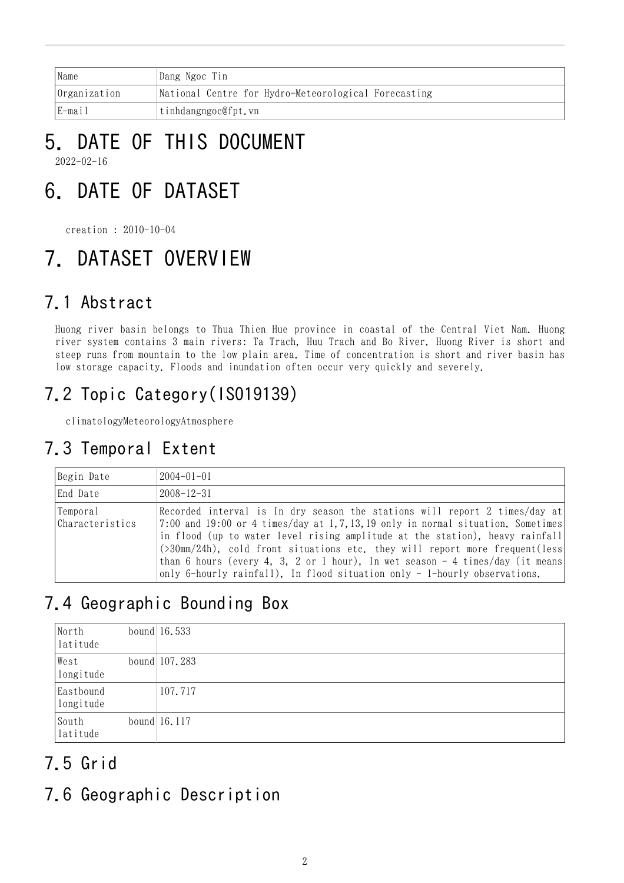| Name                | Dang Ngoc Tin                                        |
|---------------------|------------------------------------------------------|
| <i>Organization</i> | National Centre for Hydro-Meteorological Forecasting |
| E-mail              | tinhdangngoc@fpt.vn                                  |

### 5. DATE OF THIS DOCUMENT 2022-02-16

# 6. DATE OF DATASET

creation : 2010-10-04

# 7. DATASET OVERVIEW

## 7.1 Abstract

Huong river basin belongs to Thua Thien Hue province in coastal of the Central Viet Nam. Huong river system contains 3 main rivers: Ta Trach, Huu Trach and Bo River. Huong River is short and steep runs from mountain to the low plain area. Time of concentration is short and river basin has low storage capacity. Floods and inundation often occur very quickly and severely.

## 7.2 Topic Category(ISO19139)

climatologyMeteorologyAtmosphere

## 7.3 Temporal Extent

| Begin Date                   | $2004 - 01 - 01$                                                                                                                                                                                                                                                                                                                                                                                                                                                                             |
|------------------------------|----------------------------------------------------------------------------------------------------------------------------------------------------------------------------------------------------------------------------------------------------------------------------------------------------------------------------------------------------------------------------------------------------------------------------------------------------------------------------------------------|
| End Date                     | $2008 - 12 - 31$                                                                                                                                                                                                                                                                                                                                                                                                                                                                             |
| Temporal<br> Characteristics | Recorded interval is In dry season the stations will report 2 times/day at<br>$7:00$ and 19:00 or 4 times/day at 1,7,13,19 only in normal situation. Sometimes<br>in flood (up to water level rising amplitude at the station), heavy rainfall<br>(>30mm/24h), cold front situations etc. they will report more frequent(less<br>than 6 hours (every 4, 3, 2 or 1 hour), In wet season $-4$ times/day (it means<br>only 6-hourly rainfall), In flood situation only - 1-hourly observations. |

## 7.4 Geographic Bounding Box

| North<br>latitude      | bound $16.533$  |
|------------------------|-----------------|
| West<br>longitude      | bound $107.283$ |
| Eastbound<br>longitude | 107.717         |
| South<br>latitude      | bound $16.117$  |

## 7.5 Grid

## 7.6 Geographic Description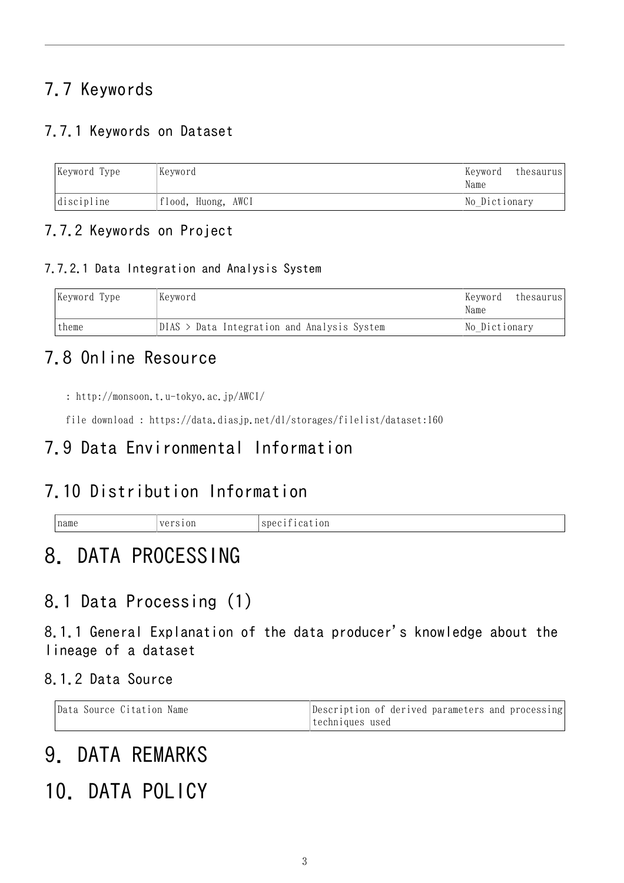## 7.7 Keywords

### 7.7.1 Keywords on Dataset

| Keyword Type     | Keyword            | Keyword<br>Name | thesaurus |
|------------------|--------------------|-----------------|-----------|
| $discript{line}$ | flood, Huong, AWCI | No Dictionary   |           |

### 7.7.2 Keywords on Project

#### 7.7.2.1 Data Integration and Analysis System

| Keyword Type | Kevword                                     | Keyword<br>thesaurus<br>Name |
|--------------|---------------------------------------------|------------------------------|
| theme        | DIAS > Data Integration and Analysis System | No Dictionary                |

### 7.8 Online Resource

```
http://monsoon.t.u-tokyo.ac.jp/AWCI/
```
file download : <https://data.diasjp.net/dl/storages/filelist/dataset:160>

### 7.9 Data Environmental Information

### 7.10 Distribution Information

| 'name | ~~ | $\sim$<br>$_{0n}$<br>Ωe<br>and the control of the con- |
|-------|----|--------------------------------------------------------|
|-------|----|--------------------------------------------------------|

# 8. DATA PROCESSING

### 8.1 Data Processing (1)

8.1.1 General Explanation of the data producer's knowledge about the lineage of a dataset

8.1.2 Data Source

| Data Source Citation Name | Description of derived parameters and processing |
|---------------------------|--------------------------------------------------|
|                           | techniques used                                  |

# 9. DATA REMARKS

# 10. DATA POLICY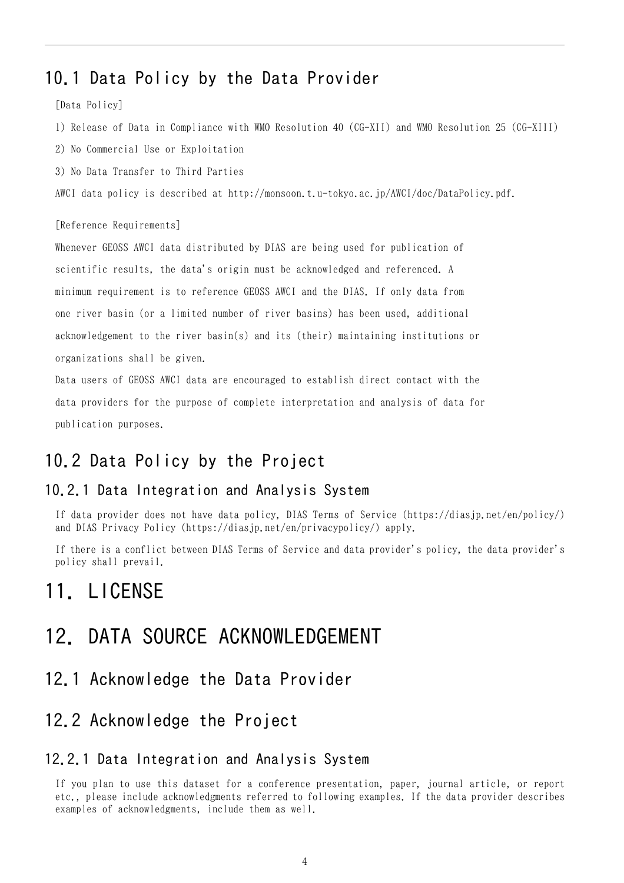### 10.1 Data Policy by the Data Provider

[Data Policy]

- 1) Release of Data in Compliance with WMO Resolution 40 (CG-XII) and WMO Resolution 25 (CG-XIII)
- 2) No Commercial Use or Exploitation
- 3) No Data Transfer to Third Parties

AWCI data policy is described at http://monsoon.t.u-tokyo.ac.jp/AWCI/doc/DataPolicy.pdf.

#### [Reference Requirements]

Whenever GEOSS AWCI data distributed by DIAS are being used for publication of scientific results, the data's origin must be acknowledged and referenced. A minimum requirement is to reference GEOSS AWCI and the DIAS. If only data from one river basin (or a limited number of river basins) has been used, additional acknowledgement to the river basin(s) and its (their) maintaining institutions or organizations shall be given.

Data users of GEOSS AWCI data are encouraged to establish direct contact with the data providers for the purpose of complete interpretation and analysis of data for publication purposes.

### 10.2 Data Policy by the Project

#### 10.2.1 Data Integration and Analysis System

If data provider does not have data policy, DIAS Terms of Service (https://diasjp.net/en/policy/) and DIAS Privacy Policy (https://diasjp.net/en/privacypolicy/) apply.

If there is a conflict between DIAS Terms of Service and data provider's policy, the data provider's policy shall prevail.

### 11. LICENSE

### 12. DATA SOURCE ACKNOWLEDGEMENT

12.1 Acknowledge the Data Provider

### 12.2 Acknowledge the Project

#### 12.2.1 Data Integration and Analysis System

If you plan to use this dataset for a conference presentation, paper, journal article, or report etc., please include acknowledgments referred to following examples. If the data provider describes examples of acknowledgments, include them as well.